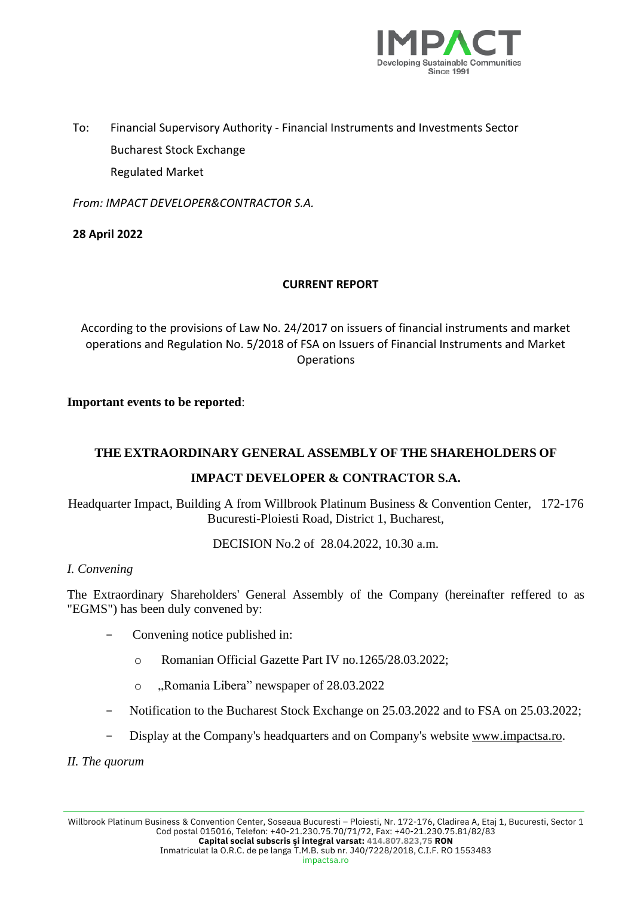

To: Financial Supervisory Authority - Financial Instruments and Investments Sector Bucharest Stock Exchange Regulated Market

*From: IMPACT DEVELOPER&CONTRACTOR S.A.* 

## **28 April 2022**

## **CURRENT REPORT**

According to the provisions of Law No. 24/2017 on issuers of financial instruments and market operations and Regulation No. 5/2018 of FSA on Issuers of Financial Instruments and Market **Operations** 

### **Important events to be reported**:

## **THE EXTRAORDINARY GENERAL ASSEMBLY OF THE SHAREHOLDERS OF**

# **IMPACT DEVELOPER & CONTRACTOR S.A.**

Headquarter Impact, Building A from Willbrook Platinum Business & Convention Center, 172-176 Bucuresti-Ploiesti Road, District 1, Bucharest,

DECISION No.2 of 28.04.2022, 10.30 a.m.

### *I. Convening*

The Extraordinary Shareholders' General Assembly of the Company (hereinafter reffered to as "EGMS") has been duly convened by:

- Convening notice published in:
	- o Romanian Official Gazette Part IV no.1265/28.03.2022;
	- o "Romania Libera" newspaper of 28.03.2022
- Notification to the Bucharest Stock Exchange on 25.03.2022 and to FSA on 25.03.2022;
- Display at the Company's headquarters and on Company's website [www.impactsa.ro.](http://www.impactsa.ro/)

*II. The quorum*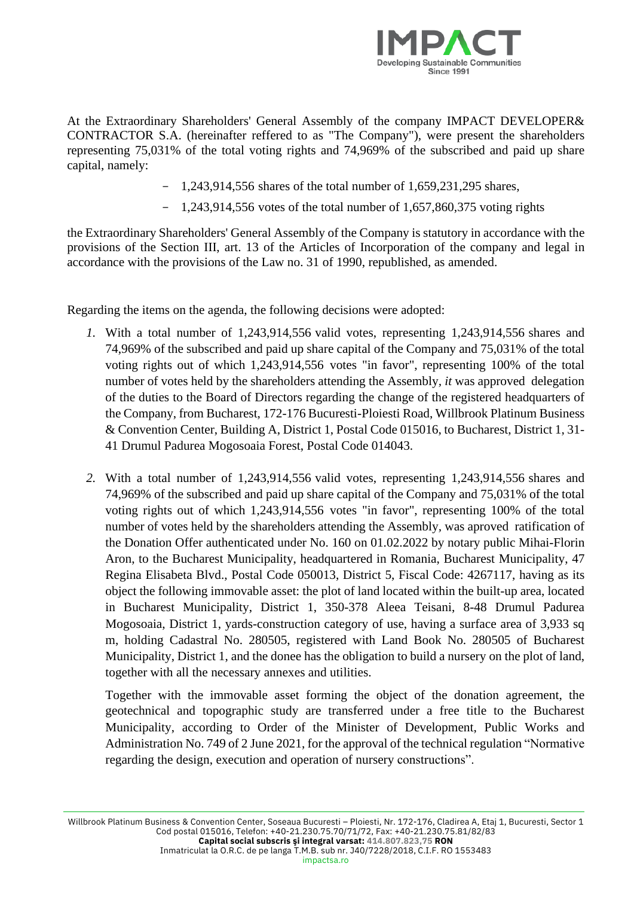

At the Extraordinary Shareholders' General Assembly of the company IMPACT DEVELOPER& CONTRACTOR S.A. (hereinafter reffered to as "The Company"), were present the shareholders representing 75,031% of the total voting rights and 74,969% of the subscribed and paid up share capital, namely:

- 1,243,914,556 shares of the total number of 1,659,231,295 shares,
- $-$  1,243,914,556 votes of the total number of 1,657,860,375 voting rights

the Extraordinary Shareholders' General Assembly of the Company is statutory in accordance with the provisions of the Section III, art. 13 of the Articles of Incorporation of the company and legal in accordance with the provisions of the Law no. 31 of 1990, republished, as amended.

Regarding the items on the agenda, the following decisions were adopted:

- *1.* With a total number of 1,243,914,556 valid votes, representing 1,243,914,556 shares and 74,969% of the subscribed and paid up share capital of the Company and 75,031% of the total voting rights out of which 1,243,914,556 votes "in favor", representing 100% of the total number of votes held by the shareholders attending the Assembly*, it* was approved delegation of the duties to the Board of Directors regarding the change of the registered headquarters of the Company, from Bucharest, 172-176 Bucuresti-Ploiesti Road, Willbrook Platinum Business & Convention Center, Building A, District 1, Postal Code 015016, to Bucharest, District 1, 31- 41 Drumul Padurea Mogosoaia Forest, Postal Code 014043.
- *2.* With a total number of 1,243,914,556 valid votes, representing 1,243,914,556 shares and 74,969% of the subscribed and paid up share capital of the Company and 75,031% of the total voting rights out of which 1,243,914,556 votes "in favor", representing 100% of the total number of votes held by the shareholders attending the Assembly*,* was aproved ratification of the Donation Offer authenticated under No. 160 on 01.02.2022 by notary public Mihai-Florin Aron, to the Bucharest Municipality, headquartered in Romania, Bucharest Municipality, 47 Regina Elisabeta Blvd., Postal Code 050013, District 5, Fiscal Code: 4267117, having as its object the following immovable asset: the plot of land located within the built-up area, located in Bucharest Municipality, District 1, 350-378 Aleea Teisani, 8-48 Drumul Padurea Mogosoaia, District 1, yards-construction category of use, having a surface area of 3,933 sq m, holding Cadastral No. 280505, registered with Land Book No. 280505 of Bucharest Municipality, District 1, and the donee has the obligation to build a nursery on the plot of land, together with all the necessary annexes and utilities.

Together with the immovable asset forming the object of the donation agreement, the geotechnical and topographic study are transferred under a free title to the Bucharest Municipality, according to Order of the Minister of Development, Public Works and Administration No. 749 of 2 June 2021, for the approval of the technical regulation "Normative regarding the design, execution and operation of nursery constructions".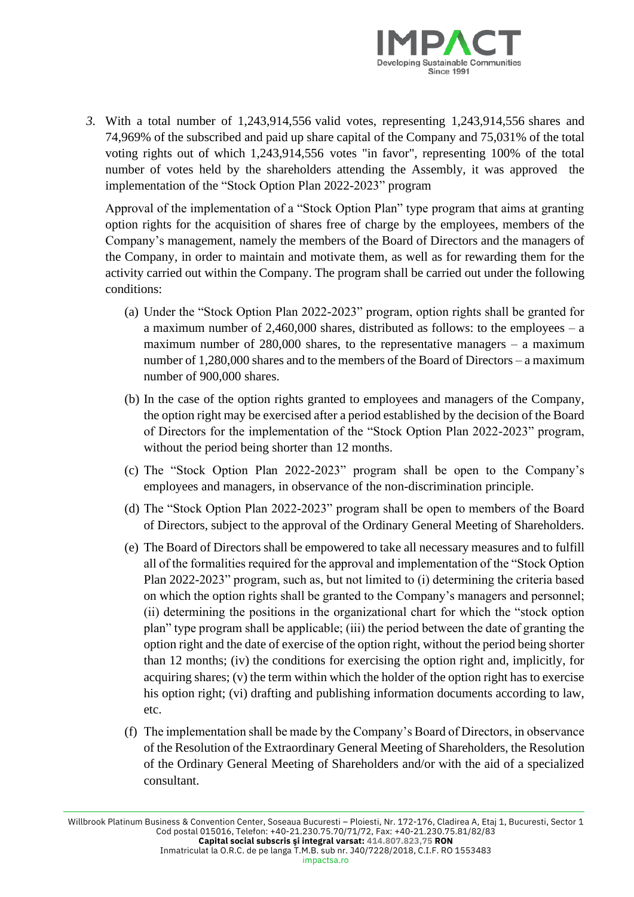

*3.* With a total number of 1,243,914,556 valid votes, representing 1,243,914,556 shares and 74,969% of the subscribed and paid up share capital of the Company and 75,031% of the total voting rights out of which 1,243,914,556 votes "in favor", representing 100% of the total number of votes held by the shareholders attending the Assembly*,* it was approved the implementation of the "Stock Option Plan 2022-2023" program

Approval of the implementation of a "Stock Option Plan" type program that aims at granting option rights for the acquisition of shares free of charge by the employees, members of the Company's management, namely the members of the Board of Directors and the managers of the Company, in order to maintain and motivate them, as well as for rewarding them for the activity carried out within the Company. The program shall be carried out under the following conditions:

- (a) Under the "Stock Option Plan 2022-2023" program, option rights shall be granted for a maximum number of  $2,460,000$  shares, distributed as follows: to the employees – a maximum number of  $280,000$  shares, to the representative managers – a maximum number of 1,280,000 shares and to the members of the Board of Directors – a maximum number of 900,000 shares.
- (b) In the case of the option rights granted to employees and managers of the Company, the option right may be exercised after a period established by the decision of the Board of Directors for the implementation of the "Stock Option Plan 2022-2023" program, without the period being shorter than 12 months.
- (c) The "Stock Option Plan 2022-2023" program shall be open to the Company's employees and managers, in observance of the non-discrimination principle.
- (d) The "Stock Option Plan 2022-2023" program shall be open to members of the Board of Directors, subject to the approval of the Ordinary General Meeting of Shareholders.
- (e) The Board of Directors shall be empowered to take all necessary measures and to fulfill all of the formalities required for the approval and implementation of the "Stock Option Plan 2022-2023" program, such as, but not limited to (i) determining the criteria based on which the option rights shall be granted to the Company's managers and personnel; (ii) determining the positions in the organizational chart for which the "stock option plan" type program shall be applicable; (iii) the period between the date of granting the option right and the date of exercise of the option right, without the period being shorter than 12 months; (iv) the conditions for exercising the option right and, implicitly, for acquiring shares; (v) the term within which the holder of the option right has to exercise his option right; (vi) drafting and publishing information documents according to law, etc.
- (f) The implementation shall be made by the Company's Board of Directors, in observance of the Resolution of the Extraordinary General Meeting of Shareholders, the Resolution of the Ordinary General Meeting of Shareholders and/or with the aid of a specialized consultant.